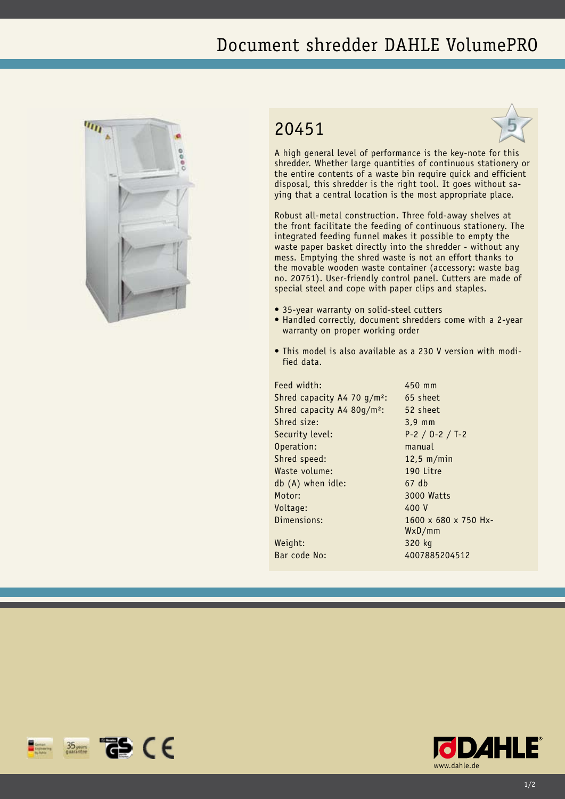## Document shredder DAHLE VolumePRO



 $\frac{35}{20}$   $\frac{125}{10}$   $\frac{125}{10}$   $\frac{125}{10}$ 

## 20451



A high general level of performance is the key-note for this shredder. Whether large quantities of continuous stationery or the entire contents of a waste bin require quick and efficient disposal, this shredder is the right tool. It goes without saying that a central location is the most appropriate place.

Robust all-metal construction. Three fold-away shelves at the front facilitate the feeding of continuous stationery. The integrated feeding funnel makes it possible to empty the waste paper basket directly into the shredder - without any mess. Emptying the shred waste is not an effort thanks to the movable wooden waste container (accessory: waste bag no. 20751). User-friendly control panel. Cutters are made of special steel and cope with paper clips and staples.

- 35-year warranty on solid-steel cutters
- Handled correctly, document shredders come with a 2-year warranty on proper working order
- This model is also available as a 230 V version with modified data.

Feed width: 450 mm Shred capacity A4 70 g/m²: 65 sheet Shred capacity A4 80g/m²: 52 sheet Shred size: 3,9 mm Security level: P-2 / O-2 / T-2 Operation: manual Shred speed: 12,5 m/min Waste volume: 190 Litre db (A) when idle: 67 db Motor: 3000 Watts Voltage: 400 V Dimensions: 1600 x 680 x 750 Hx-Weight: 320 kg

WxD/mm Bar code No: 4007885204512